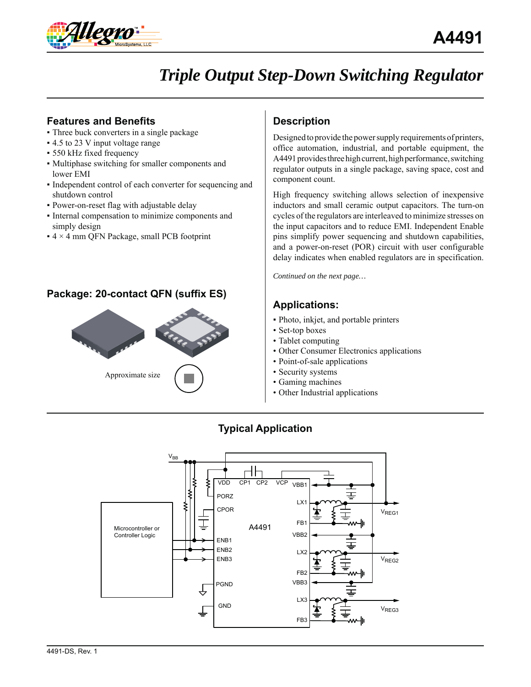

# *Triple Output Step-Down Switching Regulator*

# **Features and Benefits**

- Three buck converters in a single package
- 4.5 to 23 V input voltage range
- 550 kHz fixed frequency
- Multiphase switching for smaller components and lower EMI
- Independent control of each converter for sequencing and shutdown control
- Power-on-reset flag with adjustable delay
- Internal compensation to minimize components and simply design
- $\bullet$  4  $\times$  4 mm QFN Package, small PCB footprint

# **Package: 20-contact QFN (suffix ES)**



# **Description**

Designed to provide the power supply requirements of printers, office automation, industrial, and portable equipment, the A4491 provides three high current, high performance, switching regulator outputs in a single package, saving space, cost and component count.

High frequency switching allows selection of inexpensive inductors and small ceramic output capacitors. The turn-on cycles of the regulators are interleaved to minimize stresses on the input capacitors and to reduce EMI. Independent Enable pins simplify power sequencing and shutdown capabilities, and a power-on-reset (POR) circuit with user configurable delay indicates when enabled regulators are in specification.

*Continued on the next page…*

# **Applications:**

- Photo, inkjet, and portable printers
- Set-top boxes
- Tablet computing
- Other Consumer Electronics applications
- Point-of-sale applications
- Security systems
- Gaming machines
- Other Industrial applications



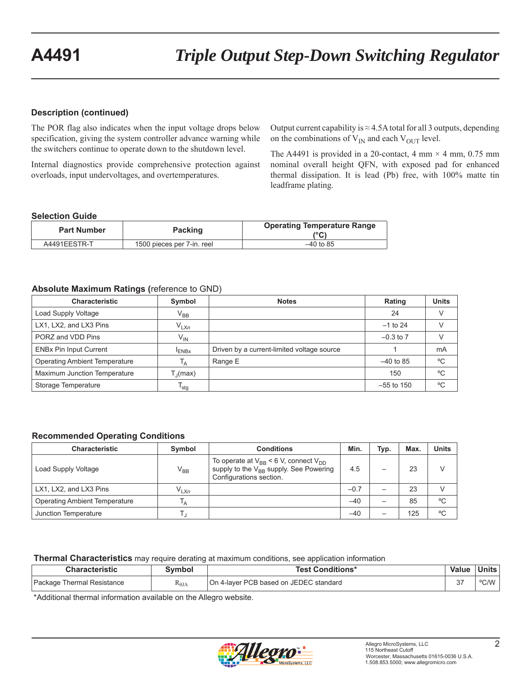## **Description (continued)**

The POR flag also indicates when the input voltage drops below specification, giving the system controller advance warning while the switchers continue to operate down to the shutdown level.

Internal diagnostics provide comprehensive protection against overloads, input undervoltages, and overtemperatures.

Output current capability is  $\approx$  4.5A total for all 3 outputs, depending on the combinations of  $V_{IN}$  and each  $V_{OUT}$  level.

The A4491 is provided in a 20-contact, 4 mm  $\times$  4 mm, 0.75 mm nominal overall height QFN, with exposed pad for enhanced thermal dissipation. It is lead (Pb) free, with 100% matte tin leadframe plating.

## **Selection Guide**

| <b>Part Number</b> | <b>Packing</b>             | <b>Operating Temperature Range</b><br>(°C) |  |  |
|--------------------|----------------------------|--------------------------------------------|--|--|
| A4491EESTR-T       | 1500 pieces per 7-in. reel | $-40$ to 85                                |  |  |

## **Absolute Maximum Ratings (**reference to GND)

| <b>Characteristic</b>                | Symbol                        | <b>Notes</b>                               | Rating        | <b>Units</b> |
|--------------------------------------|-------------------------------|--------------------------------------------|---------------|--------------|
| Load Supply Voltage                  | $\rm V_{BB}$                  |                                            | 24            |              |
| LX1, LX2, and LX3 Pins               | $V_{LXn}$                     |                                            | $-1$ to 24    |              |
| PORZ and VDD Pins                    | $V_{IN}$                      |                                            | $-0.3$ to $7$ |              |
| <b>ENBx Pin Input Current</b>        | <sup>I</sup> ENB <sub>x</sub> | Driven by a current-limited voltage source |               | mA           |
| <b>Operating Ambient Temperature</b> | $\mathsf{I}_{\mathsf{A}}$     | Range E                                    | $-40$ to 85   | °C           |
| Maximum Junction Temperature         | $T_{\parallel}$ (max)         |                                            | 150           | °C           |
| Storage Temperature                  | $I_{\text{stg}}$              |                                            | $-55$ to 150  | °C           |

## **Recommended Operating Conditions**

| <b>Characteristic</b>                | Symbol         | <b>Conditions</b>                                                                                                               | Min.   | Typ. | Max. | Units |
|--------------------------------------|----------------|---------------------------------------------------------------------------------------------------------------------------------|--------|------|------|-------|
| Load Supply Voltage                  | $V_{BB}$       | To operate at $V_{BB}$ < 6 V, connect $V_{DD}$<br>supply to the V <sub>BB</sub> supply. See Powering<br>Configurations section. | 4.5    |      | 23   |       |
| LX1, LX2, and LX3 Pins               | $V_{LXn}$      |                                                                                                                                 | $-0.7$ |      | 23   |       |
| <b>Operating Ambient Temperature</b> | <sup>1</sup> A |                                                                                                                                 | $-40$  |      | 85   | °C    |
| Junction Temperature                 |                |                                                                                                                                 | $-40$  |      | 125  | °C    |

**Thermal Characteristics** may require derating at maximum conditions, see application information

| <b>Characteristic</b>      | ™boı            | <b>Fest Conditions*</b>                | <b>Value</b> | Units |
|----------------------------|-----------------|----------------------------------------|--------------|-------|
| Package Thermal Resistance | $R_{\theta JA}$ | On 4-layer PCB based on JEDEC standard | $\sim$       | °C/W  |

\*Additional thermal information available on the Allegro website.

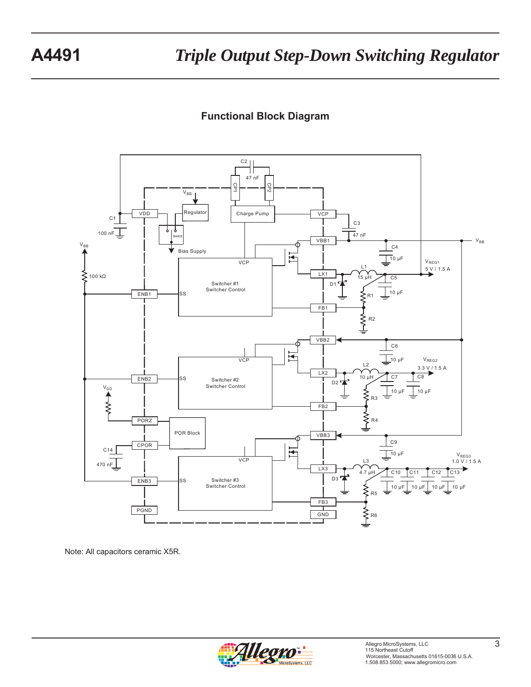# **Functional Block Diagram**



Note: All capacitors ceramic X5R.

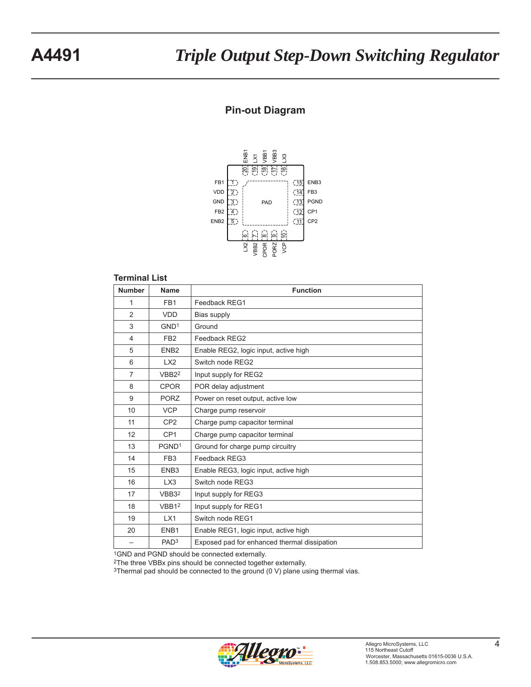# **Pin-out Diagram**



#### **Terminal List**

| <b>Number</b>  | <b>Name</b>       | <b>Function</b>                              |
|----------------|-------------------|----------------------------------------------|
| 1              | FB <sub>1</sub>   | Feedback REG1                                |
| $\overline{2}$ | <b>VDD</b>        | Bias supply                                  |
| 3              | GND <sup>1</sup>  | Ground                                       |
| 4              | FB <sub>2</sub>   | Feedback REG2                                |
| 5              | ENB <sub>2</sub>  | Enable REG2, logic input, active high        |
| 6              | 1 X2              | Switch node REG2                             |
| $\overline{7}$ | VBB2 <sup>2</sup> | Input supply for REG2                        |
| 8              | <b>CPOR</b>       | POR delay adjustment                         |
| 9              | <b>PORZ</b>       | Power on reset output, active low            |
| 10             | <b>VCP</b>        | Charge pump reservoir                        |
| 11             | CP <sub>2</sub>   | Charge pump capacitor terminal               |
| 12             | CP <sub>1</sub>   | Charge pump capacitor terminal               |
| 13             | PGND <sup>1</sup> | Ground for charge pump circuitry             |
| 14             | FB <sub>3</sub>   | Feedback REG3                                |
| 15             | ENB <sub>3</sub>  | Enable REG3, logic input, active high        |
| 16             | LX <sub>3</sub>   | Switch node REG3                             |
| 17             | VBB3 <sup>2</sup> | Input supply for REG3                        |
| 18             | VBB1 <sup>2</sup> | Input supply for REG1                        |
| 19             | LX1               | Switch node REG1                             |
| 20             | ENB <sub>1</sub>  | Enable REG1, logic input, active high        |
|                | PAD <sub>3</sub>  | Exposed pad for enhanced thermal dissipation |

1GND and PGND should be connected externally.

2The three VBBx pins should be connected together externally.

3Thermal pad should be connected to the ground (0 V) plane using thermal vias.

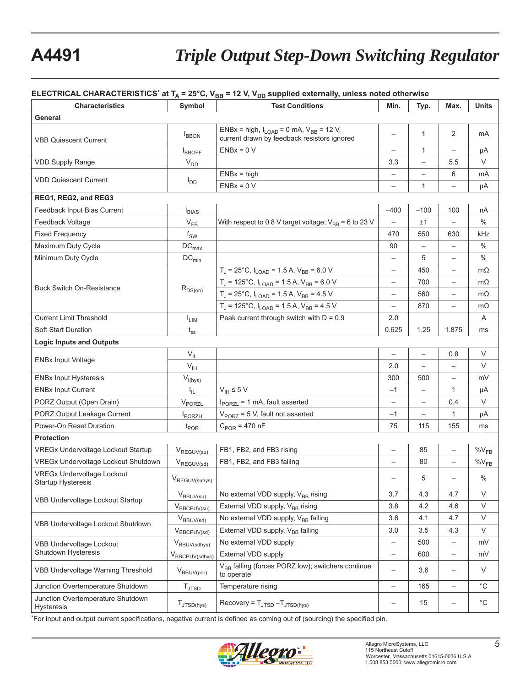# **A4491** *Triple Output Step-Down Switching Regulator*

#### **ELECTRICAL CHARACTERISTICS<sup>\*</sup> at T<sub>A</sub> = 25°C, V<sub>BB</sub> = 12 V, V<sub>DD</sub> supplied externally, unless noted otherwise**

| <b>Characteristics</b>                                         | Symbol                       | <br><b>Test Conditions</b>                                                                      | Min.                     | Typ.                     | Max.                     | Units       |
|----------------------------------------------------------------|------------------------------|-------------------------------------------------------------------------------------------------|--------------------------|--------------------------|--------------------------|-------------|
| General                                                        |                              |                                                                                                 |                          |                          |                          |             |
| VBB Quiescent Current                                          | <b>BBON</b>                  | ENBx = high, $I_{LOAD} = 0$ mA, $V_{BB} = 12$ V,<br>current drawn by feedback resistors ignored |                          | $\mathbf{1}$             | 2                        | mA          |
|                                                                | <b>I</b> BBOFF               | $ENBx = 0 V$                                                                                    |                          | $\mathbf{1}$             | $\overline{\phantom{0}}$ | μA          |
| <b>VDD Supply Range</b>                                        | $V_{DD}$                     |                                                                                                 | 3.3                      |                          | 5.5                      | V           |
| <b>VDD Quiescent Current</b>                                   |                              | $ENBx = high$                                                                                   |                          |                          | 6                        | mA          |
|                                                                | $I_{DD}$                     | $ENBx = 0 V$                                                                                    |                          | $\mathbf{1}$             |                          | μA          |
| REG1, REG2, and REG3                                           |                              |                                                                                                 |                          |                          |                          |             |
| Feedback Input Bias Current                                    | $I_{BIAS}$                   |                                                                                                 | $-400$                   | $-100$                   | 100                      | nA          |
| Feedback Voltage                                               | $V_{FB}$                     | With respect to 0.8 V target voltage; $V_{BB} = 6$ to 23 V                                      |                          | ±1                       |                          | $\%$        |
| <b>Fixed Frequency</b>                                         | $f_{SW}$                     |                                                                                                 | 470                      | 550                      | 630                      | kHz         |
| Maximum Duty Cycle                                             | $\mathsf{DC}_{\mathsf{max}}$ |                                                                                                 | 90                       | $\overline{\phantom{0}}$ | $\overline{\phantom{0}}$ | $\%$        |
| Minimum Duty Cycle                                             | $DC_{min}$                   |                                                                                                 |                          | 5                        |                          | $\%$        |
|                                                                |                              | $T_J$ = 25°C, $I_{LOAD}$ = 1.5 A, $V_{BB}$ = 6.0 V                                              | $\qquad \qquad -$        | 450                      | $\overline{\phantom{0}}$ | $m\Omega$   |
|                                                                |                              | $T_J$ = 125°C, $I_{LOAD}$ = 1.5 A, $V_{BB}$ = 6.0 V                                             | $\qquad \qquad -$        | 700                      | $\overline{\phantom{0}}$ | $m\Omega$   |
| <b>Buck Switch On-Resistance</b>                               | $R_{DS(on)}$                 | $T_J$ = 25°C, $I_{LOAD}$ = 1.5 A, $V_{BB}$ = 4.5 V                                              |                          | 560                      | $\overline{\phantom{0}}$ | $m\Omega$   |
|                                                                |                              | $T_J$ = 125°C, $I_{LOAD}$ = 1.5 A, $V_{BB}$ = 4.5 V                                             |                          | 870                      |                          | $m\Omega$   |
| <b>Current Limit Threshold</b>                                 | $I_{LIM}$                    | Peak current through switch with $D = 0.9$                                                      | 2.0                      |                          |                          | Α           |
| <b>Soft Start Duration</b>                                     | $t_{ss}$                     |                                                                                                 | 0.625                    | 1.25                     | 1.875                    | ms          |
| <b>Logic Inputs and Outputs</b>                                |                              |                                                                                                 |                          |                          |                          |             |
|                                                                | $V_{IL}$                     |                                                                                                 | $\overline{\phantom{m}}$ | $\qquad \qquad -$        | 0.8                      | V           |
| <b>ENBx Input Voltage</b>                                      | $V_{\text{IH}}$              |                                                                                                 | 2.0                      | $\overline{\phantom{0}}$ | $\overline{\phantom{0}}$ | V           |
| <b>ENBx Input Hysteresis</b>                                   | $V_{I(hys)}$                 |                                                                                                 | 300                      | 500                      |                          | mV          |
| <b>ENBx Input Current</b>                                      | $I_{\rm IL}$                 | $V_{\text{IH}}$ $\leq$ 5 V                                                                      | $-1$                     | $\qquad \qquad -$        | 1                        | μA          |
| PORZ Output (Open Drain)                                       | $V_{\text{PORZL}}$           | $I_{\text{PORZL}}$ = 1 mA, fault asserted                                                       | $\overline{\phantom{m}}$ | $\qquad \qquad -$        | 0.4                      | V           |
| PORZ Output Leakage Current                                    | PORZH                        | $V_{PORZ}$ = 5 V, fault not asserted                                                            | $-1$                     | $\overline{\phantom{0}}$ | 1                        | μA          |
| Power-On Reset Duration                                        | $t_{\text{POR}}$             | $C_{POR}$ = 470 nF                                                                              | 75                       | 115                      | 155                      | ms          |
| <b>Protection</b>                                              |                              |                                                                                                 |                          |                          |                          |             |
| VREGx Undervoltage Lockout Startup                             | $V_{\text{REGUV(su)}}$       | FB1, FB2, and FB3 rising                                                                        | $\qquad \qquad -$        | 85                       | $\overline{\phantom{0}}$ | $\%V_{FB}$  |
| VREGx Undervoltage Lockout Shutdown                            | $V_{\text{REGUV(sd)}}$       | FB1, FB2, and FB3 falling                                                                       |                          | 80                       |                          | $\%V_{FB}$  |
| <b>VREGx Undervoltage Lockout</b><br><b>Startup Hysteresis</b> | V <sub>REGUV(suhys)</sub>    |                                                                                                 |                          | 5                        |                          | $\%$        |
|                                                                | $V_{BBUV(su)}$               | No external VDD supply, V <sub>BB</sub> rising                                                  | 3.7                      | 4.3                      | 4.7                      | V           |
| VBB Undervoltage Lockout Startup                               | $V_{BBCPUV(su)}$             | External VDD supply, V <sub>BB</sub> rising                                                     | 3.8                      | 4.2                      | 4.6                      | $\vee$      |
| VBB Undervoltage Lockout Shutdown                              | $V_{BBUV(sd)}$               | No external VDD supply, V <sub>BB</sub> falling                                                 | 3.6                      | 4.1                      | 4.7                      | V           |
|                                                                | $V_{BBCPUV(sd)}$             | External VDD supply, V <sub>BB</sub> falling                                                    | 3.0                      | 3.5                      | 4.3                      | V           |
| <b>VBB Undervoltage Lockout</b>                                | V <sub>BBUV(sdhys)</sub>     | No external VDD supply                                                                          | $\qquad \qquad -$        | 500                      | $\qquad \qquad -$        | mV          |
| Shutdown Hysteresis                                            | VBBCPUV(sdhys)               | External VDD supply                                                                             | $\overline{\phantom{0}}$ | 600                      | $\qquad \qquad -$        | mV          |
| VBB Undervoltage Warning Threshold                             | $V_{BBUV(por)}$              | V <sub>BB</sub> falling (forces PORZ low); switchers continue<br>to operate                     | $\overline{\phantom{m}}$ | 3.6                      | $\qquad \qquad -$        | V           |
| Junction Overtemperature Shutdown                              | $T_{\text{JTSD}}$            | Temperature rising                                                                              |                          | 165                      | $\overline{\phantom{0}}$ | °C          |
| Junction Overtemperature Shutdown<br>Hysteresis                | $T_{JTSD(hys)}$              | Recovery = $T_{\text{JTSD}} - T_{\text{JTSD(hys)}}$                                             | $\overline{\phantom{0}}$ | 15                       | $\overline{\phantom{0}}$ | $^{\circ}C$ |

\*For input and output current specifications, negative current is defined as coming out of (sourcing) the specified pin.

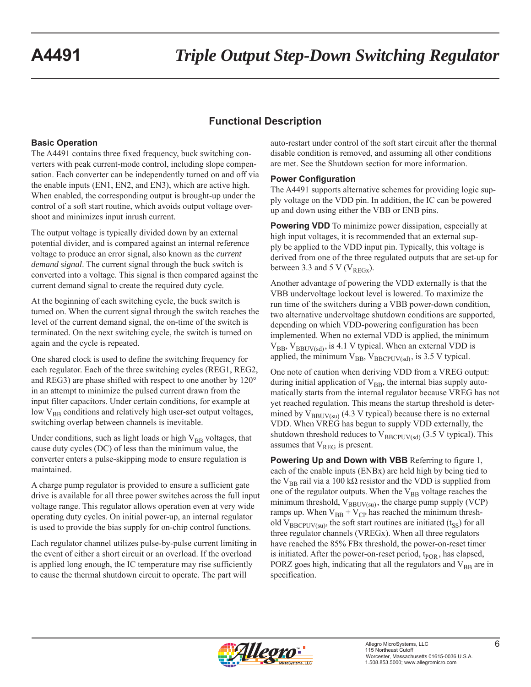# **Functional Description**

## **Basic Operation**

The A4491 contains three fixed frequency, buck switching converters with peak current-mode control, including slope compensation. Each converter can be independently turned on and off via the enable inputs (EN1, EN2, and EN3), which are active high. When enabled, the corresponding output is brought-up under the control of a soft start routine, which avoids output voltage overshoot and minimizes input inrush current.

The output voltage is typically divided down by an external potential divider, and is compared against an internal reference voltage to produce an error signal, also known as the *current demand signal*. The current signal through the buck switch is converted into a voltage. This signal is then compared against the current demand signal to create the required duty cycle.

At the beginning of each switching cycle, the buck switch is turned on. When the current signal through the switch reaches the level of the current demand signal, the on-time of the switch is terminated. On the next switching cycle, the switch is turned on again and the cycle is repeated.

One shared clock is used to define the switching frequency for each regulator. Each of the three switching cycles (REG1, REG2, and REG3) are phase shifted with respect to one another by 120° in an attempt to minimize the pulsed current drawn from the input filter capacitors. Under certain conditions, for example at low  $V_{BB}$  conditions and relatively high user-set output voltages, switching overlap between channels is inevitable.

Under conditions, such as light loads or high  $V_{BB}$  voltages, that cause duty cycles (DC) of less than the minimum value, the converter enters a pulse-skipping mode to ensure regulation is maintained.

A charge pump regulator is provided to ensure a sufficient gate drive is available for all three power switches across the full input voltage range. This regulator allows operation even at very wide operating duty cycles. On initial power-up, an internal regulator is used to provide the bias supply for on-chip control functions.

Each regulator channel utilizes pulse-by-pulse current limiting in the event of either a short circuit or an overload. If the overload is applied long enough, the IC temperature may rise sufficiently to cause the thermal shutdown circuit to operate. The part will

auto-restart under control of the soft start circuit after the thermal disable condition is removed, and assuming all other conditions are met. See the Shutdown section for more information.

## **Power Configuration**

The A4491 supports alternative schemes for providing logic supply voltage on the VDD pin. In addition, the IC can be powered up and down using either the VBB or ENB pins.

**Powering VDD** To minimize power dissipation, especially at high input voltages, it is recommended that an external supply be applied to the VDD input pin. Typically, this voltage is derived from one of the three regulated outputs that are set-up for between 3.3 and 5 V ( $V_{REGx}$ ).

Another advantage of powering the VDD externally is that the VBB undervoltage lockout level is lowered. To maximize the run time of the switchers during a VBB power-down condition, two alternative undervoltage shutdown conditions are supported, depending on which VDD-powering configuration has been implemented. When no external VDD is applied, the minimum  $V_{BB}$ ,  $V_{BBUV(sd)}$ , is 4.1 V typical. When an external VDD is applied, the minimum  $V_{BB}$ ,  $V_{BBCPUV(sd)}$ , is 3.5 V typical.

One note of caution when deriving VDD from a VREG output: during initial application of  $V_{BB}$ , the internal bias supply automatically starts from the internal regulator because VREG has not yet reached regulation. This means the startup threshold is determined by  $V_{\text{BBUV(su)}}$  (4.3 V typical) because there is no external VDD. When VREG has begun to supply VDD externally, the shutdown threshold reduces to  $V_{B B C P I IV (s d)}$  (3.5 V typical). This assumes that  $V_{REG}$  is present.

**Powering Up and Down with VBB** Referring to figure 1, each of the enable inputs (ENBx) are held high by being tied to the V<sub>BB</sub> rail via a 100 kΩ resistor and the VDD is supplied from one of the regulator outputs. When the  $V_{BB}$  voltage reaches the minimum threshold,  $V_{BBUV(su)}$ , the charge pump supply (VCP) ramps up. When  $V_{BB} + V_{CP}$  has reached the minimum threshold  $V_{\text{BBCPUV(su)}}$ , the soft start routines are initiated (t<sub>SS</sub>) for all three regulator channels (VREGx). When all three regulators have reached the 85% FBx threshold, the power-on-reset timer is initiated. After the power-on-reset period,  $t_{POR}$ , has elapsed, PORZ goes high, indicating that all the regulators and  $V_{BB}$  are in specification.

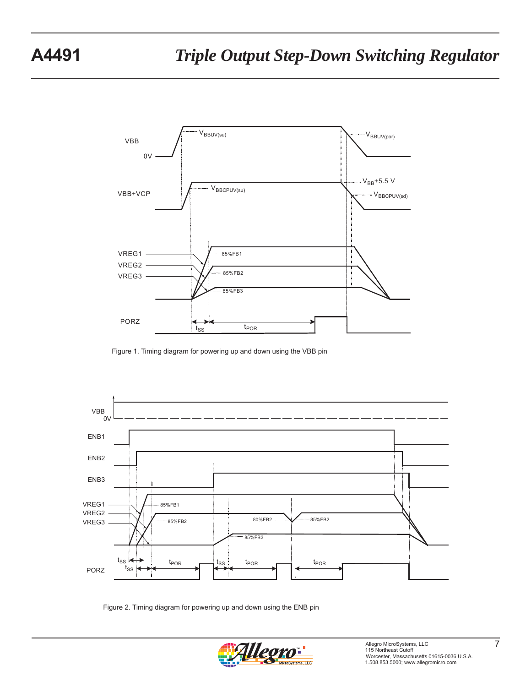

Figure 1. Timing diagram for powering up and down using the VBB pin



Figure 2. Timing diagram for powering up and down using the ENB pin

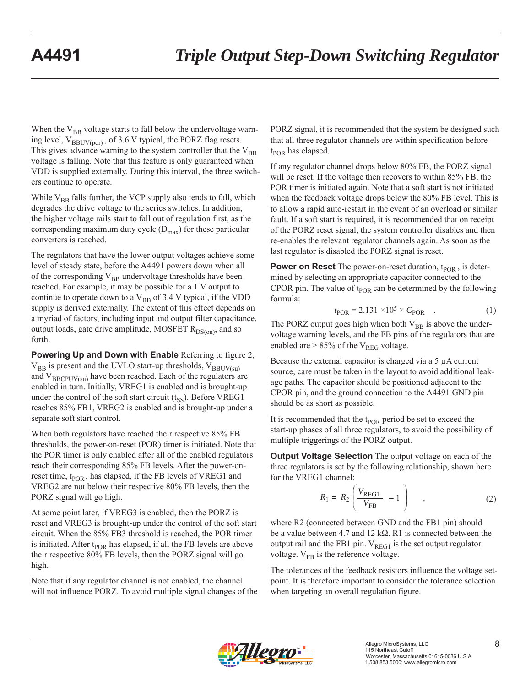When the  $V_{BB}$  voltage starts to fall below the undervoltage warning level,  $V_{BBUV(por)}$ , of 3.6 V typical, the PORZ flag resets. This gives advance warning to the system controller that the  $V_{BB}$ voltage is falling. Note that this feature is only guaranteed when VDD is supplied externally. During this interval, the three switchers continue to operate.

While  $V_{BB}$  falls further, the VCP supply also tends to fall, which degrades the drive voltage to the series switches. In addition, the higher voltage rails start to fall out of regulation first, as the corresponding maximum duty cycle  $(D_{\text{max}})$  for these particular converters is reached.

The regulators that have the lower output voltages achieve some level of steady state, before the A4491 powers down when all of the corresponding  $V_{BB}$  undervoltage thresholds have been reached. For example, it may be possible for a 1 V output to continue to operate down to a  $V_{BB}$  of 3.4 V typical, if the VDD supply is derived externally. The extent of this effect depends on a myriad of factors, including input and output filter capacitance, output loads, gate drive amplitude, MOSFET  $R_{DS(0n)}$ , and so forth.

**Powering Up and Down with Enable** Referring to figure 2,  $V_{BB}$  is present and the UVLO start-up thresholds,  $V_{BBUV(su)}$ and  $V_{\text{BBCPUV(su)}}$  have been reached. Each of the regulators are enabled in turn. Initially, VREG1 is enabled and is brought-up under the control of the soft start circuit  $(t_{SS})$ . Before VREG1 reaches 85% FB1, VREG2 is enabled and is brought-up under a separate soft start control.

When both regulators have reached their respective 85% FB thresholds, the power-on-reset (POR) timer is initiated. Note that the POR timer is only enabled after all of the enabled regulators reach their corresponding 85% FB levels. After the power-onreset time,  $t_{\text{POR}}$ , has elapsed, if the FB levels of VREG1 and VREG2 are not below their respective 80% FB levels, then the PORZ signal will go high.

At some point later, if VREG3 is enabled, then the PORZ is reset and VREG3 is brought-up under the control of the soft start circuit. When the 85% FB3 threshold is reached, the POR timer is initiated. After t<sub>POR</sub> has elapsed, if all the FB levels are above their respective 80% FB levels, then the PORZ signal will go high.

Note that if any regulator channel is not enabled, the channel will not influence PORZ. To avoid multiple signal changes of the PORZ signal, it is recommended that the system be designed such that all three regulator channels are within specification before  $t_{\text{POR}}$  has elapsed.

If any regulator channel drops below 80% FB, the PORZ signal will be reset. If the voltage then recovers to within 85% FB, the POR timer is initiated again. Note that a soft start is not initiated when the feedback voltage drops below the 80% FB level. This is to allow a rapid auto-restart in the event of an overload or similar fault. If a soft start is required, it is recommended that on receipt of the PORZ reset signal, the system controller disables and then re-enables the relevant regulator channels again. As soon as the last regulator is disabled the PORZ signal is reset.

**Power on Reset** The power-on-reset duration,  $t_{POR}$ , is determined by selecting an appropriate capacitor connected to the CPOR pin. The value of  $t_{POR}$  can be determined by the following formula:

$$
t_{\rm POR} = 2.131 \times 10^5 \times C_{\rm POR} \quad . \tag{1}
$$

The PORZ output goes high when both  $V_{BB}$  is above the undervoltage warning levels, and the FB pins of the regulators that are enabled are  $> 85\%$  of the V<sub>REG</sub> voltage.

Because the external capacitor is charged via a 5 μA current source, care must be taken in the layout to avoid additional leakage paths. The capacitor should be positioned adjacent to the CPOR pin, and the ground connection to the A4491 GND pin should be as short as possible.

It is recommended that the  $t_{\text{POR}}$  period be set to exceed the start-up phases of all three regulators, to avoid the possibility of multiple triggerings of the PORZ output.

**Output Voltage Selection** The output voltage on each of the three regulators is set by the following relationship, shown here for the VREG1 channel:

$$
R_1 = R_2 \left( \frac{V_{\text{REG1}}}{V_{\text{FB}}} - 1 \right) \tag{2}
$$

where R2 (connected between GND and the FB1 pin) should be a value between 4.7 and 12 kΩ. R1 is connected between the output rail and the FB1 pin.  $V_{REG1}$  is the set output regulator voltage.  $V_{FB}$  is the reference voltage.

The tolerances of the feedback resistors influence the voltage setpoint. It is therefore important to consider the tolerance selection when targeting an overall regulation figure.

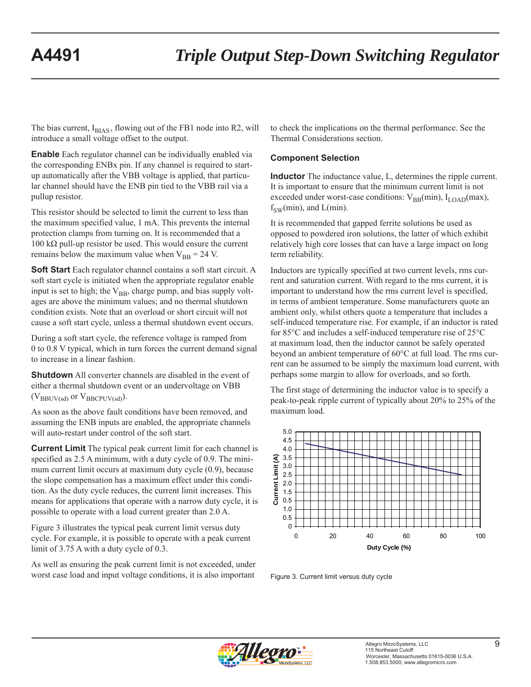The bias current,  $I_{BIAS}$ , flowing out of the FB1 node into R2, will introduce a small voltage offset to the output.

**Enable** Each regulator channel can be individually enabled via the corresponding ENBx pin. If any channel is required to startup automatically after the VBB voltage is applied, that particular channel should have the ENB pin tied to the VBB rail via a pullup resistor.

This resistor should be selected to limit the current to less than the maximum specified value, 1 mA. This prevents the internal protection clamps from turning on. It is recommended that a 100 kΩ pull-up resistor be used. This would ensure the current remains below the maximum value when  $V_{BB} = 24$  V.

**Soft Start** Each regulator channel contains a soft start circuit. A soft start cycle is initiated when the appropriate regulator enable input is set to high; the  $V_{BB}$ , charge pump, and bias supply voltages are above the minimum values; and no thermal shutdown condition exists. Note that an overload or short circuit will not cause a soft start cycle, unless a thermal shutdown event occurs.

During a soft start cycle, the reference voltage is ramped from 0 to 0.8 V typical, which in turn forces the current demand signal to increase in a linear fashion.

**Shutdown** All converter channels are disabled in the event of either a thermal shutdown event or an undervoltage on VBB  $(V_{BBUV(sd)}$  or  $V_{BBCPU(sd)}$ .

As soon as the above fault conditions have been removed, and assuming the ENB inputs are enabled, the appropriate channels will auto-restart under control of the soft start.

**Current Limit** The typical peak current limit for each channel is specified as 2.5 A minimum, with a duty cycle of 0.9. The minimum current limit occurs at maximum duty cycle (0.9), because the slope compensation has a maximum effect under this condition. As the duty cycle reduces, the current limit increases. This means for applications that operate with a narrow duty cycle, it is possible to operate with a load current greater than 2.0 A.

Figure 3 illustrates the typical peak current limit versus duty cycle. For example, it is possible to operate with a peak current limit of 3.75 A with a duty cycle of 0.3.

As well as ensuring the peak current limit is not exceeded, under worst case load and input voltage conditions, it is also important

to check the implications on the thermal performance. See the Thermal Considerations section.

## **Component Selection**

**Inductor** The inductance value, L, determines the ripple current. It is important to ensure that the minimum current limit is not exceeded under worst-case conditions:  $V_{BB}(min)$ ,  $I_{LOAD}(max)$ ,  $f_{SW}(min)$ , and  $L(min)$ .

It is recommended that gapped ferrite solutions be used as opposed to powdered iron solutions, the latter of which exhibit relatively high core losses that can have a large impact on long term reliability.

Inductors are typically specified at two current levels, rms current and saturation current. With regard to the rms current, it is important to understand how the rms current level is specified, in terms of ambient temperature. Some manufacturers quote an ambient only, whilst others quote a temperature that includes a self-induced temperature rise. For example, if an inductor is rated for 85°C and includes a self-induced temperature rise of 25°C at maximum load, then the inductor cannot be safely operated beyond an ambient temperature of 60°C at full load. The rms current can be assumed to be simply the maximum load current, with perhaps some margin to allow for overloads, and so forth.

The first stage of determining the inductor value is to specify a peak-to-peak ripple current of typically about 20% to 25% of the maximum load.



Figure 3. Current limit versus duty cycle

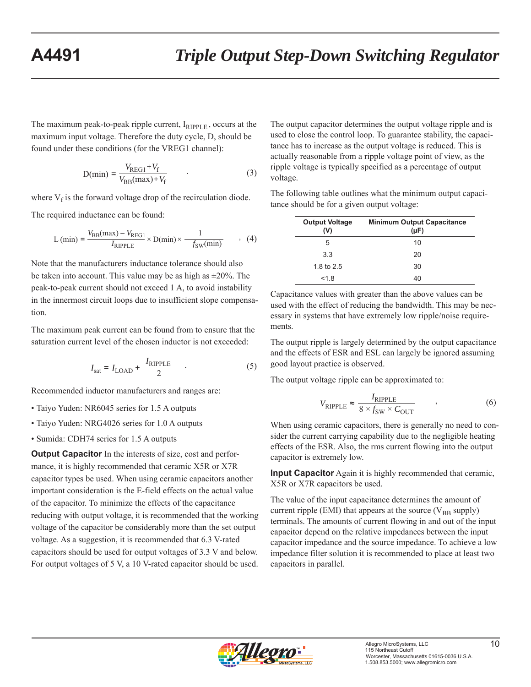The maximum peak-to-peak ripple current,  $I_{RIPPLE}$ , occurs at the maximum input voltage. Therefore the duty cycle, D, should be found under these conditions (for the VREG1 channel):

$$
D(\min) = \frac{V_{\text{REG1}} + V_{\text{f}}}{V_{\text{BB}}(\max) + V_{\text{f}}}
$$
 (3)

where  $V_f$  is the forward voltage drop of the recirculation diode.

The required inductance can be found:

$$
L (min) = \frac{V_{BB}(max) - V_{REG1}}{I_{RIPPLE}} \times D(min) \times \frac{1}{-f_{SW}(min)}
$$
(4)

Note that the manufacturers inductance tolerance should also be taken into account. This value may be as high as  $\pm 20\%$ . The peak-to-peak current should not exceed 1 A, to avoid instability in the innermost circuit loops due to insufficient slope compensation.

The maximum peak current can be found from to ensure that the saturation current level of the chosen inductor is not exceeded:

$$
I_{\text{sat}} = I_{\text{LOAD}} + \frac{I_{\text{RIPPLE}}}{2} \tag{5}
$$

Recommended inductor manufacturers and ranges are:

- Taiyo Yuden: NR6045 series for 1.5 A outputs
- Taiyo Yuden: NRG4026 series for 1.0 A outputs
- Sumida: CDH74 series for 1.5 A outputs

**Output Capacitor** In the interests of size, cost and performance, it is highly recommended that ceramic X5R or X7R capacitor types be used. When using ceramic capacitors another important consideration is the E-field effects on the actual value of the capacitor. To minimize the effects of the capacitance reducing with output voltage, it is recommended that the working voltage of the capacitor be considerably more than the set output voltage. As a suggestion, it is recommended that 6.3 V-rated capacitors should be used for output voltages of 3.3 V and below. For output voltages of 5 V, a 10 V-rated capacitor should be used.

The output capacitor determines the output voltage ripple and is used to close the control loop. To guarantee stability, the capacitance has to increase as the output voltage is reduced. This is actually reasonable from a ripple voltage point of view, as the ripple voltage is typically specified as a percentage of output voltage.

The following table outlines what the minimum output capacitance should be for a given output voltage:

| <b>Output Voltage</b><br>(V) | <b>Minimum Output Capacitance</b><br>$(\mu F)$ |
|------------------------------|------------------------------------------------|
| 5                            | 10                                             |
| 3.3                          | 20                                             |
| 1.8 to 2.5                   | 30                                             |
| < 1.8                        | 40                                             |

Capacitance values with greater than the above values can be used with the effect of reducing the bandwidth. This may be necessary in systems that have extremely low ripple/noise requirements.

The output ripple is largely determined by the output capacitance and the effects of ESR and ESL can largely be ignored assuming good layout practice is observed.

The output voltage ripple can be approximated to:

$$
V_{\text{RIPPLE}} \approx \frac{I_{\text{RIPPLE}}}{8 \times f_{\text{SW}} \times C_{\text{OUT}}}
$$
 (6)

When using ceramic capacitors, there is generally no need to consider the current carrying capability due to the negligible heating effects of the ESR. Also, the rms current flowing into the output capacitor is extremely low.

**Input Capacitor** Again it is highly recommended that ceramic, X5R or X7R capacitors be used.

The value of the input capacitance determines the amount of current ripple (EMI) that appears at the source ( $V_{BB}$  supply) terminals. The amounts of current flowing in and out of the input capacitor depend on the relative impedances between the input capacitor impedance and the source impedance. To achieve a low impedance filter solution it is recommended to place at least two capacitors in parallel.

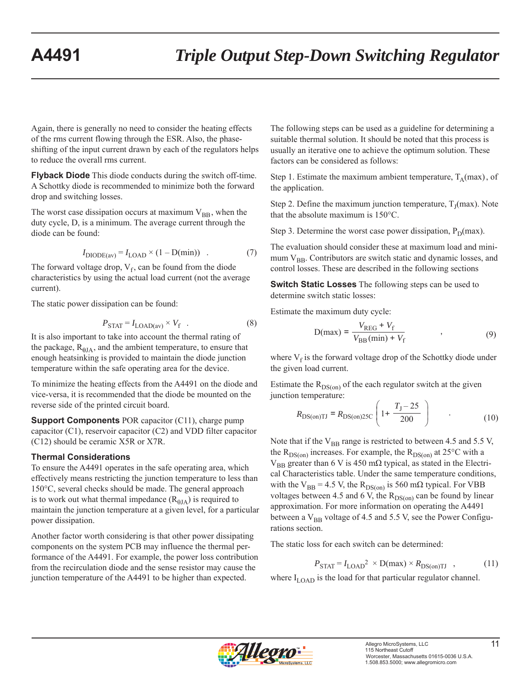Again, there is generally no need to consider the heating effects of the rms current flowing through the ESR. Also, the phaseshifting of the input current drawn by each of the regulators helps to reduce the overall rms current.

**Flyback Diode** This diode conducts during the switch off-time. A Schottky diode is recommended to minimize both the forward drop and switching losses.

The worst case dissipation occurs at maximum  $V_{BB}$ , when the duty cycle, D, is a minimum. The average current through the diode can be found:

$$
I_{\text{DIODE}(av)} = I_{\text{LOAD}} \times (1 - \text{D}(min)) \quad . \tag{7}
$$

The forward voltage drop,  $V_f$ , can be found from the diode characteristics by using the actual load current (not the average current).

The static power dissipation can be found:

$$
P_{\text{STAT}} = I_{\text{LOAD(av)}} \times V_{\text{f}} \quad . \tag{8}
$$

It is also important to take into account the thermal rating of the package,  $R<sub>BIA</sub>$ , and the ambient temperature, to ensure that enough heatsinking is provided to maintain the diode junction temperature within the safe operating area for the device.

To minimize the heating effects from the A4491 on the diode and vice-versa, it is recommended that the diode be mounted on the reverse side of the printed circuit board.

**Support Components** POR capacitor (C11), charge pump capacitor (C1), reservoir capacitor (C2) and VDD filter capacitor (C12) should be ceramic X5R or X7R.

## **Thermal Considerations**

To ensure the A4491 operates in the safe operating area, which effectively means restricting the junction temperature to less than 150°C, several checks should be made. The general approach is to work out what thermal impedance  $(R_{0IA})$  is required to maintain the junction temperature at a given level, for a particular power dissipation.

Another factor worth considering is that other power dissipating components on the system PCB may influence the thermal performance of the A4491. For example, the power loss contribution from the recirculation diode and the sense resistor may cause the junction temperature of the A4491 to be higher than expected.

The following steps can be used as a guideline for determining a suitable thermal solution. It should be noted that this process is usually an iterative one to achieve the optimum solution. These factors can be considered as follows:

Step 1. Estimate the maximum ambient temperature,  $T_A$ (max), of the application.

Step 2. Define the maximum junction temperature,  $T_I$ (max). Note that the absolute maximum is 150°C.

Step 3. Determine the worst case power dissipation,  $P_D(max)$ .

The evaluation should consider these at maximum load and minimum  $V_{BB}$ . Contributors are switch static and dynamic losses, and control losses. These are described in the following sections

**Switch Static Losses** The following steps can be used to determine switch static losses:

Estimate the maximum duty cycle:

$$
D(max) = \frac{V_{REG} + V_f}{V_{BB}(min) + V_f} \tag{9}
$$

where  $V_f$  is the forward voltage drop of the Schottky diode under the given load current.

Estimate the  $R_{DS(on)}$  of the each regulator switch at the given junction temperature:

$$
R_{\text{DS}(on)TI} = R_{\text{DS}(on)25C} \left( 1 + \frac{T_J - 25}{200} \right) \tag{10}
$$

Note that if the  $V_{BB}$  range is restricted to between 4.5 and 5.5 V, the  $R_{DS(on)}$  increases. For example, the  $R_{DS(on)}$  at 25°C with a  $V_{BB}$  greater than 6 V is 450 mΩ typical, as stated in the Electrical Characteristics table. Under the same temperature conditions, with the  $V_{BB} = 4.5$  V, the  $R_{DS(on)}$  is 560 m $\Omega$  typical. For VBB voltages between 4.5 and 6 V, the  $R_{DS(0n)}$  can be found by linear approximation. For more information on operating the A4491 between a  $V_{BB}$  voltage of 4.5 and 5.5 V, see the Power Configurations section.

The static loss for each switch can be determined:

$$
P_{\text{STAT}} = I_{\text{LOAD}}^2 \times D(\text{max}) \times R_{\text{DS}(on) \text{TI}} \quad , \tag{11}
$$

where  $I_{\text{LOAD}}$  is the load for that particular regulator channel.

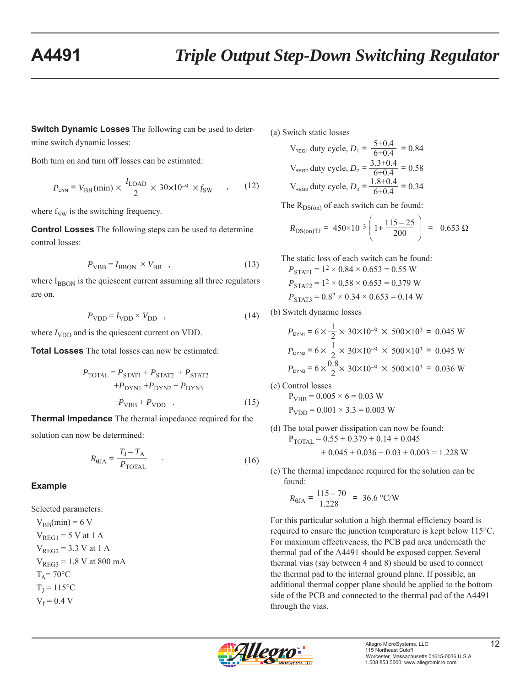**Switch Dynamic Losses** The following can be used to determine switch dynamic losses:

Both turn on and turn off losses can be estimated:

$$
P_{\text{DYN}} = V_{\text{BB}}(\text{min}) \times \frac{I_{\text{LOAD}}}{2} \times 30 \times 10^{-9} \times f_{\text{SW}} \quad , \quad (12)
$$

where  $f_{SW}$  is the switching frequency.

**Control Losses** The following steps can be used to determine control losses:

$$
P_{\rm VBB} = I_{\rm BBON} \times V_{\rm BB} \quad , \tag{13}
$$

where  $I_{\text{BBON}}$  is the quiescent current assuming all three regulators are on.

$$
P_{\text{VDD}} = I_{\text{VDD}} \times V_{\text{DD}} \quad , \tag{14}
$$

where  $I_{\text{VDD}}$  and is the quiescent current on VDD.

**Total Losses** The total losses can now be estimated:

$$
P_{\text{TOTAL}} = P_{\text{STAT1}} + P_{\text{STAT2}} + P_{\text{STAT2}} + P_{\text{DYN1}} + P_{\text{DYN1}} + P_{\text{DYN2}} + P_{\text{DYN3}} + P_{\text{VBB}} + P_{\text{VDD}} \tag{15}
$$

**Thermal Impedance** The thermal impedance required for the

solution can now be determined:

$$
R_{\theta \text{JA}} = \frac{T_{\text{J}} - T_{\text{A}}}{P_{\text{TOTAL}}} \tag{16}
$$

## **Example**

Selected parameters:  $V_{BB}(min) = 6 V$  $V<sub>REG1</sub> = 5 V at 1 A$  $V_{REG2} = 3.3 V at 1 A$  $V_{REG3} = 1.8 V$  at 800 mA  $T_A = 70$ °C  $T_I = 115$ °C  $V_f = 0.4 V$ 

(a) Switch static losses

 $V_{\text{REG1}}$  duty cycle,  $D_1 = \frac{5+0.4}{6+0.4} = 0.84$  $V_{\text{REG2}}$  duty cycle,  $D_2 = \frac{3.3+0.4}{6+0.4} = 0.58$  $V_{\text{REG3}}$  duty cycle,  $D_3 = \frac{1.8+0.4}{6+0.4} = 0.34$ 

The  $R_{DS(on)}$  of each switch can be found:

$$
R_{\text{DS}(on)TI} = 450 \times 10^{-3} \left( 1 + \frac{115 - 25}{200} \right) = 0.653 \ \Omega
$$

 The static loss of each switch can be found:  $P_{\text{STAT1}} = 1^2 \times 0.84 \times 0.653 = 0.55 \text{ W}$  $P_{STAT2}$  = 1<sup>2</sup> × 0.58 × 0.653 = 0.379 W  $P_{STAT3} = 0.8^2 \times 0.34 \times 0.653 = 0.14$  W

(b) Switch dynamic losses

$$
P_{\text{DYM1}} = 6 \times \frac{1}{2} \times 30 \times 10^{-9} \times 500 \times 10^{3} = 0.045 \text{ W}
$$
  
\n
$$
P_{\text{DYM2}} = 6 \times \frac{1}{2} \times 30 \times 10^{-9} \times 500 \times 10^{3} = 0.045 \text{ W}
$$
  
\n
$$
P_{\text{DYM3}} = 6 \times \frac{0.8}{2} \times 30 \times 10^{-9} \times 500 \times 10^{3} = 0.036 \text{ W}
$$

(c) Control losses  $P_{VBB} = 0.005 \times 6 = 0.03$  W  $P_{VDD} = 0.001 \times 3.3 = 0.003$  W

- (d) The total power dissipation can now be found:  $P_{\text{TOTAL}} = 0.55 + 0.379 + 0.14 + 0.045$  $+ 0.045 + 0.036 + 0.03 + 0.003 = 1.228$  W
- (e) The thermal impedance required for the solution can be found:

$$
R_{\text{0JA}} = \frac{115 - 70}{1.228} = 36.6 \text{ °C/W}
$$

For this particular solution a high thermal efficiency board is required to ensure the junction temperature is kept below 115°C. For maximum effectiveness, the PCB pad area underneath the thermal pad of the A4491 should be exposed copper. Several thermal vias (say between 4 and 8) should be used to connect the thermal pad to the internal ground plane. If possible, an additional thermal copper plane should be applied to the bottom side of the PCB and connected to the thermal pad of the A4491 through the vias.

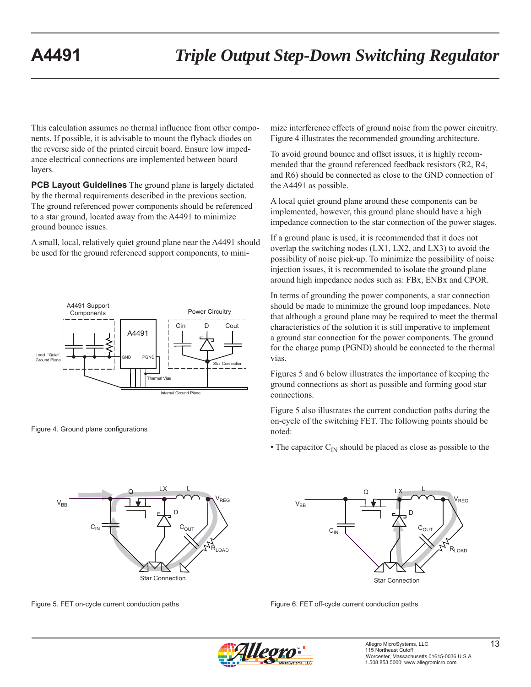This calculation assumes no thermal influence from other components. If possible, it is advisable to mount the flyback diodes on the reverse side of the printed circuit board. Ensure low impedance electrical connections are implemented between board layers.

**PCB Layout Guidelines** The ground plane is largely dictated by the thermal requirements described in the previous section. The ground referenced power components should be referenced to a star ground, located away from the A4491 to minimize ground bounce issues.

A small, local, relatively quiet ground plane near the A4491 should be used for the ground referenced support components, to mini-



Figure 4. Ground plane configurations

 $Q$  LX L RLOAD  $V_{BB}$ V<sub>REG</sub> D  $C_{IN}$   $\rightarrow$   $C_{OUT}$ LX Star Connection

Figure 5. FET on-cycle current conduction paths

mize interference effects of ground noise from the power circuitry. Figure 4 illustrates the recommended grounding architecture.

To avoid ground bounce and offset issues, it is highly recommended that the ground referenced feedback resistors (R2, R4, and R6) should be connected as close to the GND connection of the A4491 as possible.

A local quiet ground plane around these components can be implemented, however, this ground plane should have a high impedance connection to the star connection of the power stages.

If a ground plane is used, it is recommended that it does not overlap the switching nodes (LX1, LX2, and LX3) to avoid the possibility of noise pick-up. To minimize the possibility of noise injection issues, it is recommended to isolate the ground plane around high impedance nodes such as: FBx, ENBx and CPOR.

In terms of grounding the power components, a star connection should be made to minimize the ground loop impedances. Note that although a ground plane may be required to meet the thermal characteristics of the solution it is still imperative to implement a ground star connection for the power components. The ground for the charge pump (PGND) should be connected to the thermal vias.

Figures 5 and 6 below illustrates the importance of keeping the ground connections as short as possible and forming good star connections.

Figure 5 also illustrates the current conduction paths during the on-cycle of the switching FET. The following points should be noted:

• The capacitor  $C_{\text{IN}}$  should be placed as close as possible to the



Figure 6. FET off-cycle current conduction paths

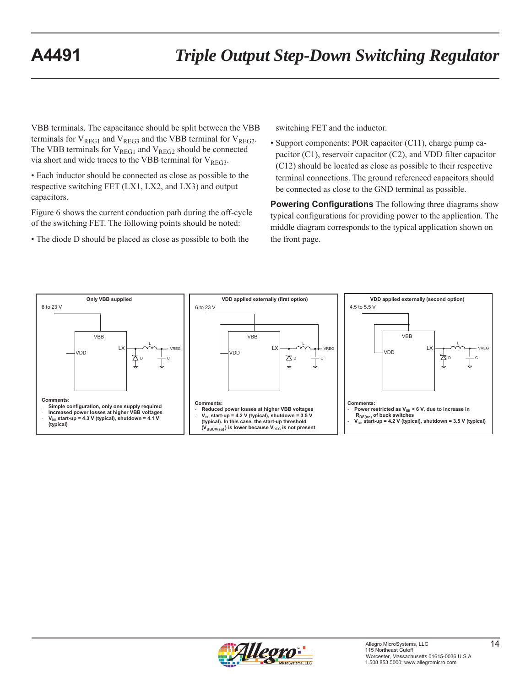VBB terminals. The capacitance should be split between the VBB terminals for  $V_{REG1}$  and  $V_{REG3}$  and the VBB terminal for  $V_{REG2}$ . The VBB terminals for  $V_{REG1}$  and  $V_{REG2}$  should be connected via short and wide traces to the VBB terminal for  $V_{RFG3}$ .

• Each inductor should be connected as close as possible to the respective switching FET (LX1, LX2, and LX3) and output capacitors.

Figure 6 shows the current conduction path during the off-cycle of the switching FET. The following points should be noted:

• The diode D should be placed as close as possible to both the

switching FET and the inductor.

• Support components: POR capacitor (C11), charge pump capacitor (C1), reservoir capacitor (C2), and VDD filter capacitor (C12) should be located as close as possible to their respective terminal connections. The ground referenced capacitors should be connected as close to the GND terminal as possible.

**Powering Configurations** The following three diagrams show typical configurations for providing power to the application. The middle diagram corresponds to the typical application shown on the front page.



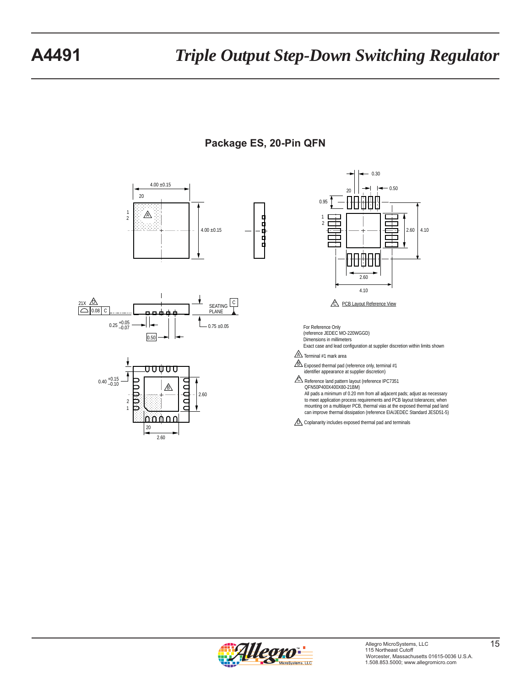